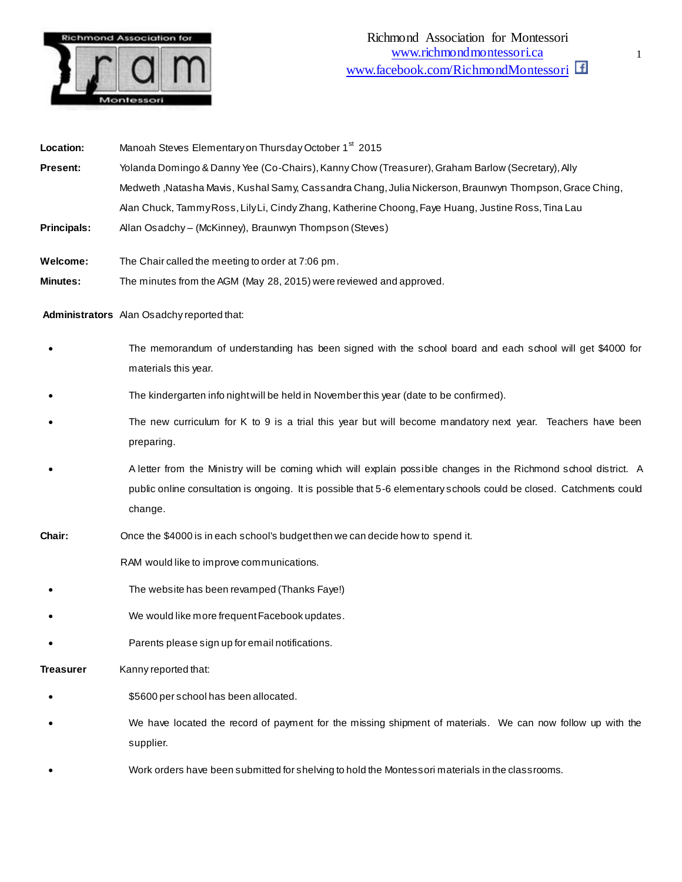

Location: Manoah Steves Elementary on Thursday October 1<sup>st</sup> 2015 **Present:** Yolanda Domingo & Danny Yee (Co-Chairs), Kanny Chow (Treasurer), Graham Barlow (Secretary), Ally Medweth ,Natasha Mavis, Kushal Samy, Cassandra Chang, Julia Nickerson, Braunwyn Thompson, Grace Ching, Alan Chuck, Tammy Ross, Lily Li, Cindy Zhang, Katherine Choong, Faye Huang, Justine Ross, Tina Lau **Principals:** Allan Osadchy – (McKinney), Braunwyn Thompson (Steves) **Welcome:** The Chair called the meeting to order at 7:06 pm. **Minutes:** The minutes from the AGM (May 28, 2015) were reviewed and approved. **Administrators** Alan Osadchy reported that: The memorandum of understanding has been signed with the school board and each school will get \$4000 for materials this year. The kindergarten info night will be held in November this year (date to be confirmed). The new curriculum for K to 9 is a trial this year but will become mandatory next year. Teachers have been preparing. A letter from the Ministry will be coming which will explain possible changes in the Richmond school district. A public online consultation is ongoing. It is possible that 5-6 elementary schools could be closed. Catchments could change. **Chair:** Once the \$4000 is in each school's budget then we can decide how to spend it. RAM would like to improve communications. The website has been revamped (Thanks Faye!) We would like more frequent Facebook updates. Parents please sign up for email notifications. **Treasurer** Kanny reported that: \$5600 per school has been allocated. We have located the record of payment for the missing shipment of materials. We can now follow up with the supplier.

Work orders have been submitted for shelving to hold the Montessori materials in the classrooms.